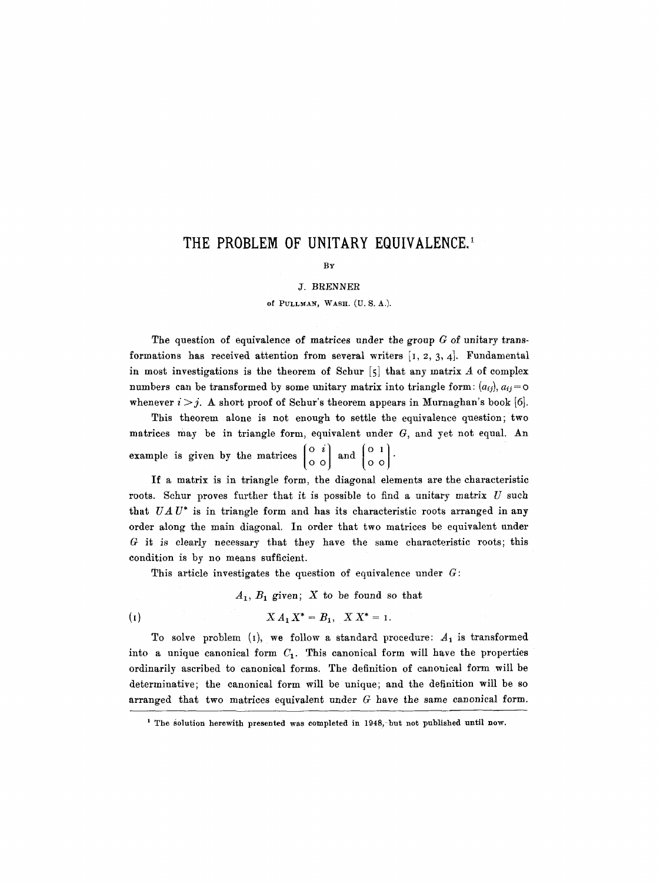# THE PROBLEM OF UNITARY EQUIVALENCE.<sup>1</sup>

### BY

#### J. BRENNER

### of PULLMAN, WASH. (U. S. A.).

The question of equivalence of matrices under the group  $G$  of unitary transformations has received attention from several writers  $[1, 2, 3, 4]$ . Fundamental in most investigations is the theorem of Schur  $[5]$  that any matrix A of complex numbers can be transformed by some unitary matrix into triangle form:  $(a_{ij})$ ,  $a_{ij} = \infty$ whenever  $i > j$ . A short proof of Schur's theorem appears in Murnaghan's book [6].

This theorem alone is not enough to settle the equivalence question; two matrices may be in triangle form, equivalent under G, and yet not equal. An example is given by the matrices  $\begin{pmatrix} 0 & i \\ 0 & 0 \end{pmatrix}$  and  $\begin{pmatrix} 0 & 1 \\ 0 & 0 \end{pmatrix}$ .

If a matrix is in triangle form, the diagonal elements are the characteristic roots. Schur proves further that it is possible to find a unitary matrix  $U$  such that *UA U\** is in triangle form and has its characteristic roots arranged in any order along the main diagonal. In order that two matrices be equivalent under G it is clearly necessary that they have the same characteristic roots; this condition is by no means sufficient.

This article investigates the question of equivalence under  $G$ :

 $A_1, B_1$  given; X to be found so that

(I)  $X A_1 X^* = B_1, X X^* = I.$ 

To solve problem (1), we follow a standard procedure:  $A_1$  is transformed into a unique canonical form  $C_1$ . This canonical form will have the properties ordinarily ascribed to canonical forms. The definition of canonical form will be determinative; the canonical form will be unique; and the definition will be so arranged that two matrices equivalent under  $G$  have the same canonical form.

<sup>&</sup>lt;sup>1</sup> The solution herewith presented was completed in 1948,-but not published until now.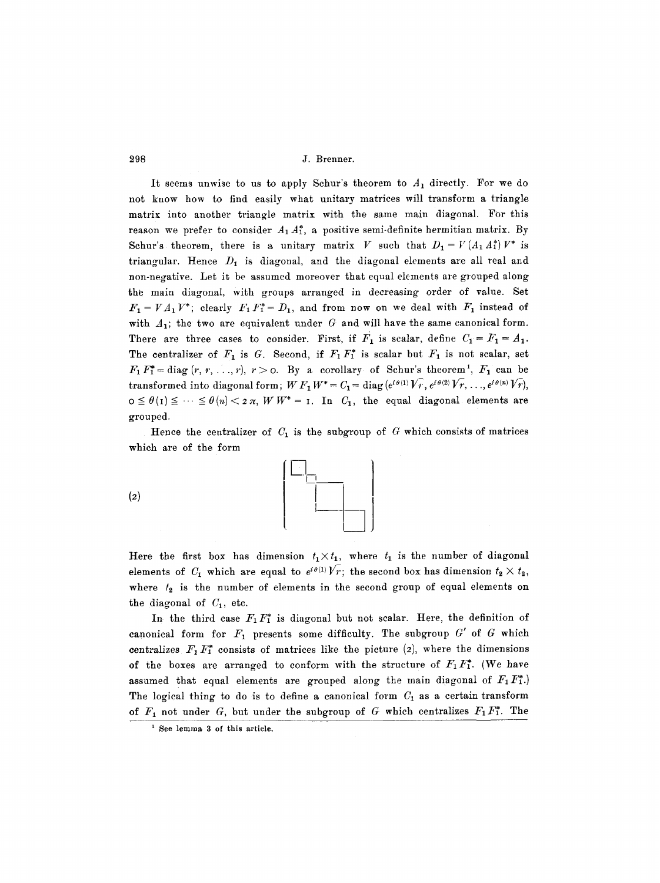It seems unwise to us to apply Schur's theorem to  $A_1$  directly. For we do not know how to find easily what unitary matrices will transform a triangle matrix into another triangle matrix with the same main diagonal. For this reason we prefer to consider  $A_1A_1^*$ , a positive semi-definite hermitian matrix. By Schur's theorem, there is a unitary matrix V such that  $D_1 = V(A_1 \, A_1^*) V^*$  is triangular. Hence  $D_1$  is diagonal, and the diagonal elements are all real and non-negative. Let it be assumed moreover that equal elements are grouped along the main diagonal, with groups arranged in decreasing order of value. Set  $F_1 = VA_1V^*$ ; clearly  $F_1F_1^* = D_1$ , and from now on we deal with  $F_1$  instead of with  $A_1$ ; the two are equivalent under G and will have the same canonical form. There are three cases to consider. First, if  $F_1$  is scalar, define  $C_1 = F_1 = A_1$ . The centralizer of  $F_1$  is G. Second, if  $F_1F_1^*$  is scalar but  $F_1$  is not scalar, set  $F_1 F_1^* = \text{diag}(r, r, \ldots, r), r > 0$ . By a corollary of Schur's theorem<sup>1</sup>,  $F_1$  can be transformed into diagonal form;  $W F_1 W^* = C_1 = \text{diag}(e^{i\theta(1)}V_F, e^{i\theta(2)}V_F, \ldots, e^{i\theta(n)}V_F)$ ,  $o \leq \theta(1) \leq \cdots \leq \theta(n) < 2 \pi$ ,  $W W^* = I$ . In  $C_1$ , the equal diagonal elements are grouped.

Hence the centralizer of  $C_1$  is the subgroup of  $G$  which consists of matrices which are of the form

 $(2)$ 



Here the first box has dimension  $t_1 \times t_1$ , where  $t_1$  is the number of diagonal elements of  $C_1$  which are equal to  $e^{i\theta(1)}V_r$ ; the second box has dimension  $t_2 \times t_2$ , where  $t_2$  is the number of elements in the second group of equal elements on the diagonal of  $C_1$ , etc.

In the third case  $F_1 F_1^*$  is diagonal but not scalar. Here, the definition of canonical form for  $F_1$  presents some difficulty. The subgroup  $G'$  of  $G$  which centralizes  $F_1 F_1^*$  consists of matrices like the picture (2), where the dimensions of the boxes are arranged to conform with the structure of  $F_1F_1^*$ . (We have assumed that equal elements are grouped along the main diagonal of  $F_1F_1^*$ .) The logical thing to do is to define a canonical form  $C_1$  as a certain transform of  $F_1$  not under G, but under the subgroup of G which centralizes  $F_1F_1^*$ . The

**<sup>1</sup> See lemma 3 of this article.**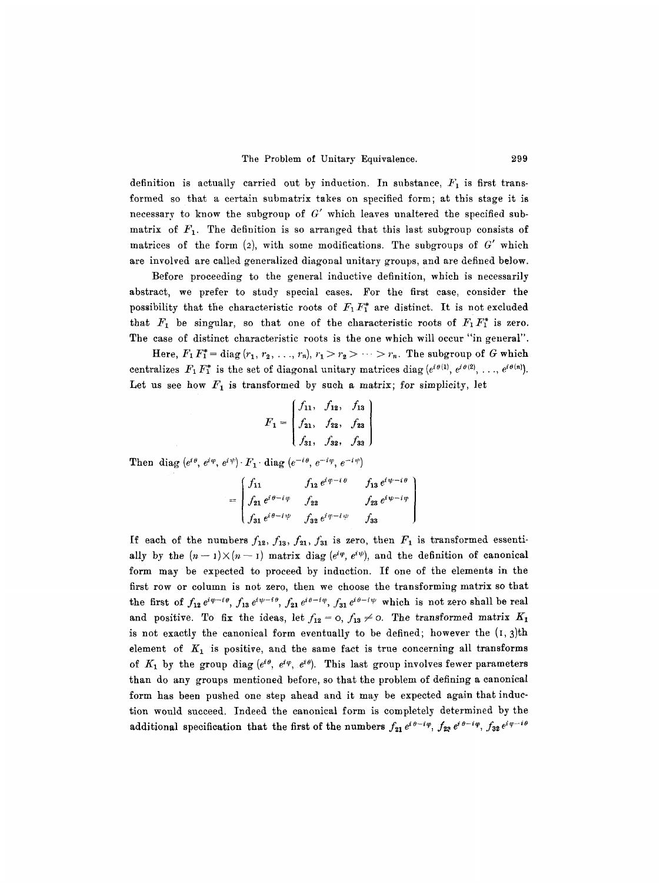definition is actually carried out by induction. In substance,  $F_1$  is first transformed so that a certain submatrix takes on specified form; at this stage it is necessary to know the subgroup of  $G'$  which leaves unaltered the specified submatrix of  $F_1$ . The definition is so arranged that this last subgroup consists of matrices of the form  $(2)$ , with some modifications. The subgroups of G' which are involved are called generalized diagonal unitary groups, and are defined below.

Before proceeding to the general inductive definition, which is necessarily abstract, we prefer to study special cases. For the first case, consider the possibility that the characteristic roots of  $F_1 F_1^*$  are distinct. It is not excluded that  $F_1$  be singular, so that one of the characteristic roots of  $F_1F_1^*$  is zero. The case of distinct characteristic roots is the one which will occur "in general".

Here,  $F_1 F_1^* = \text{diag}(r_1, r_2, \ldots, r_n), r_1 > r_2 > \cdots > r_n$ . The subgroup of G which centralizes  $F_1 F_1^*$  is the set of diagonal unitary matrices diag ( $e^{i\theta(1)}, e^{i\theta(2)}, \ldots, e^{i\theta(n)}$ ). Let us see how  $F_1$  is transformed by such a matrix; for simplicity, let

$$
F_1 = \begin{pmatrix} f_{11}, & f_{12}, & f_{13} \\ f_{21}, & f_{22}, & f_{23} \\ f_{31}, & f_{32}, & f_{33} \end{pmatrix}
$$

Then diag  $(e^{i\theta}, e^{i\varphi}, e^{i\psi}) \cdot F_1 \cdot \text{diag}(e^{-i\theta}, e^{-i\varphi}, e^{-i\psi})$ 

$$
= \begin{bmatrix} f_{11} & f_{12} e^{i \varphi - i \theta} & f_{13} e^{i \psi - i \theta} \\ f_{21} e^{i \theta - i \varphi} & f_{22} & f_{23} e^{i \psi - i \varphi} \\ f_{31} e^{i \theta - i \psi} & f_{32} e^{i \varphi - i \psi} & f_{33} \end{bmatrix}
$$

If each of the numbers  $f_{12}$ ,  $f_{13}$ ,  $f_{21}$ ,  $f_{31}$  is zero, then  $F_1$  is transformed essentially by the  $(n-1)\times (n-1)$  matrix diag  $(e^{i\varphi}, e^{i\psi})$ , and the definition of canonical form may be expected to proceed by induction. If one of the elements in the first row or column is not zero, then we choose the transforming matrix so that the first of  $f_{12}e^{i\varphi-i\theta}$ ,  $f_{13}e^{i\psi-i\theta}$ ,  $f_{21}e^{i\theta-i\varphi}$ ,  $f_{31}e^{i\theta-i\psi}$  which is not zero shall be real and positive. To fix the ideas, let  $f_{12} = o$ ,  $f_{13} \neq o$ . The transformed matrix  $K_1$ is not exactly the canonical form eventually to be defined; however the  $(1, 3)$ th element of  $K_1$  is positive, and the same fact is true concerning all transforms of  $K_1$  by the group diag  $(e^{i\theta}, e^{i\varphi}, e^{i\theta})$ . This last group involves fewer parameters than do any groups mentioned before, so that the problem of defining a canonical form has been pushed one step ahead and it may be expected again that induction would succeed. Indeed the canonical form is completely determined by the additional specification that the first of the numbers  $f_{21}e^{i\theta-i\varphi}$ ,  $f_{22}e^{i\theta-i\varphi}$ ,  $f_{32}e^{i\varphi-i\theta}$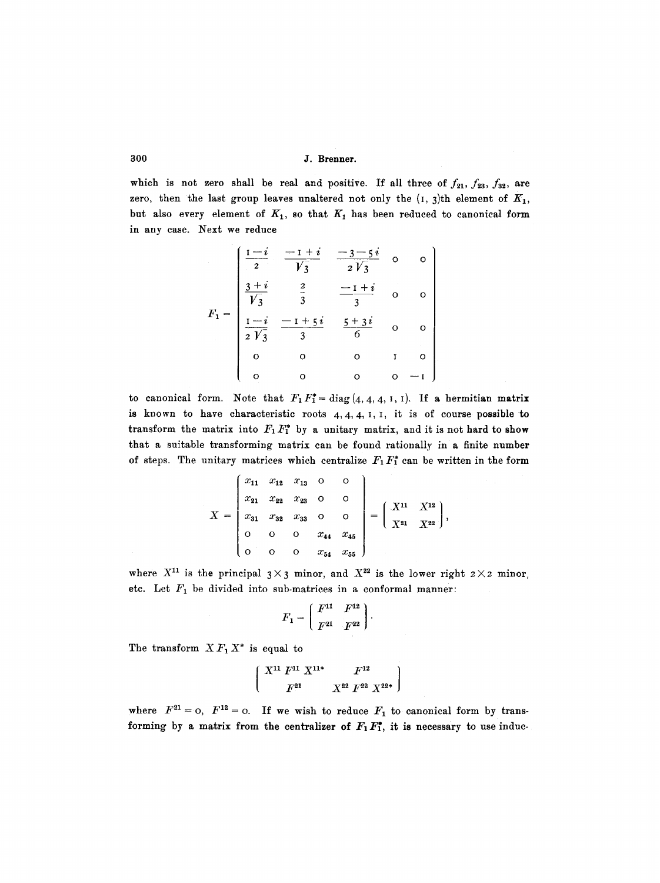which is not zero shall be real and positive. If all three of  $f_{21}$ ,  $f_{23}$ ,  $f_{32}$ , are zero, then the last group leaves unaltered not only the  $(1, 3)$ th element of  $K_1$ , but also every element of  $K_1$ , so that  $K_1$  has been reduced to canonical form in any case. Next we reduce

$$
F_1 = \begin{pmatrix} \frac{1-i}{2} & \frac{-1+i}{\sqrt{3}} & \frac{-3-5i}{2\sqrt{3}} & 0 & 0 \\ \frac{3+i}{\sqrt{3}} & \frac{2}{3} & \frac{-1+i}{3} & 0 & 0 \\ \frac{1-i}{2\sqrt{3}} & \frac{-1+5i}{3} & \frac{5+3i}{6} & 0 & 0 \\ 0 & 0 & 0 & 1 & 0 \\ 0 & 0 & 0 & 0 & -1 \end{pmatrix}
$$

to canonical form. Note that  $F_1F_1^* = \text{diag}(4, 4, 4, 1, 1)$ . If a hermitian matrix is known to have characteristic roots  $4, 4, 4, 1, 1$ , it is of course possible to transform the matrix into  $F_1 F_1^*$  by a unitary matrix, and it is not hard to show that a suitable transforming matrix can be found rationally in a finite number of steps. The unitary matrices which centralize  $F_1F_1^*$  can be written in the form

$$
X = \begin{pmatrix} x_{11} & x_{12} & x_{13} & 0 & 0 \\ x_{21} & x_{22} & x_{23} & 0 & 0 \\ x_{31} & x_{32} & x_{33} & 0 & 0 \\ 0 & 0 & 0 & x_{44} & x_{45} \\ 0 & 0 & 0 & x_{54} & x_{55} \end{pmatrix} = \begin{pmatrix} X^{11} & X^{12} \\ X^{21} & X^{22} \end{pmatrix},
$$

where  $X^{11}$  is the principal  $3 \times 3$  minor, and  $X^{22}$  is the lower right  $2 \times 2$  minor, etc. Let  $F_1$  be divided into sub-matrices in a conformal manner:

$$
F_1 = \left(\begin{array}{cc} F^{11} & F^{12} \\ F^{21} & F^{22} \end{array}\right).
$$

The transform  $X F_1 X^*$  is equal to

$$
\left(\begin{array}{cc}\nX^{11} \, F^{11} \, X^{11*} & F^{12} \\
F^{21} & X^{22} \, F^{22} \, X^{22*}\n\end{array}\right)
$$

where  $F^{21} = 0$ ,  $F^{12} = 0$ . If we wish to reduce  $F_1$  to canonical form by transforming by a matrix from the centralizer of  $F_1 F_1^*$ , it is necessary to use induc-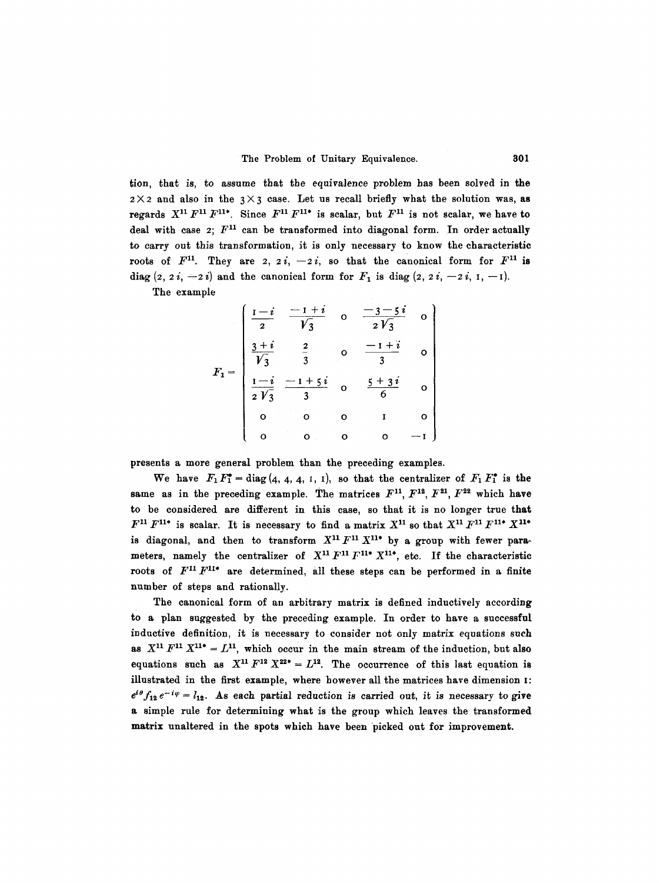tion, that is, to assume that the equivalence problem has been solved in the  $2 \times 2$  and also in the  $3 \times 3$  case. Let us recall briefly what the solution was, as regards  $X^{11} F^{11} F^{11*}$ . Since  $F^{11} F^{11*}$  is scalar, but  $F^{11}$  is not scalar, we have to deal with case 2;  $F^{11}$  can be transformed into diagonal form. In order actually to carry out this transformation, it is only necessary to know the characteristic roots of  $F^{11}$ . They are 2, 2i, -2i, so that the canonical form for  $F^{11}$  is diag  $(z, 2i, -2i)$  and the canonical form for  $F_1$  is diag  $(z, 2i, -2i, 1, -1)$ .

The example

$$
F_1 = \begin{bmatrix} \frac{1-i}{2} & \frac{-1+i}{\sqrt{3}} & 0 & \frac{-3-5i}{2\sqrt{3}} & 0 \\ \frac{3+i}{\sqrt{3}} & \frac{2}{3} & 0 & \frac{-1+i}{3} & 0 \\ \frac{1-i}{2\sqrt{3}} & \frac{-1+5i}{3} & 0 & \frac{5+3i}{6} & 0 \\ 0 & 0 & 0 & 1 & 0 \\ 0 & 0 & 0 & 0 & -1 \end{bmatrix}
$$

presents a more general problem than the preceding examples.

We have  $F_1F_1^*=\text{diag}(4, 4, 4, 1, 1)$ , so that the centralizer of  $F_1F_1^*$  is the same as in the preceding example. The matrices  $F^{11}$ ,  $F^{12}$ ,  $F^{21}$ ,  $F^{22}$  which have to be considered are different in this case, so that it is no longer true that  $F^{11} F^{11*}$  is scalar. It is necessary to find a matrix  $X^{11}$  so that  $X^{11} F^{11*} X^{11*}$ is diagonal, and then to transform  $X^{11} F^{11} X^{11*}$  by a group with fewer parameters, namely the centralizer of  $X^{11}F^{11}F^{11*}X^{11*}$ , etc. If the characteristic roots of  $F^{11}F^{11*}$  are determined, all these steps can be performed in a finite number of steps and rationally.

The canonical form of an arbitrary matrix is defined inductively according to a plan suggested by the preceding example. In order to have a successful inductive definition, it is necessary to consider not only matrix equations such as  $X^{11} F^{11} X^{11} = L^{11}$ , which occur in the main stream of the induction, but also equations such as  $X^{11}F^{12}X^{22*} = L^{12}$ . The occurrence of this last equation is illustrated in the first example, where however all the matrices have dimension I:  $e^{i\theta} f_{12} e^{-i\varphi} = l_{12}$ . As each partial reduction is carried out, it is necessary to give a simple rule for determining what is the group which leaves the transformed matrix unaltered in the spots which have been picked out for improvement.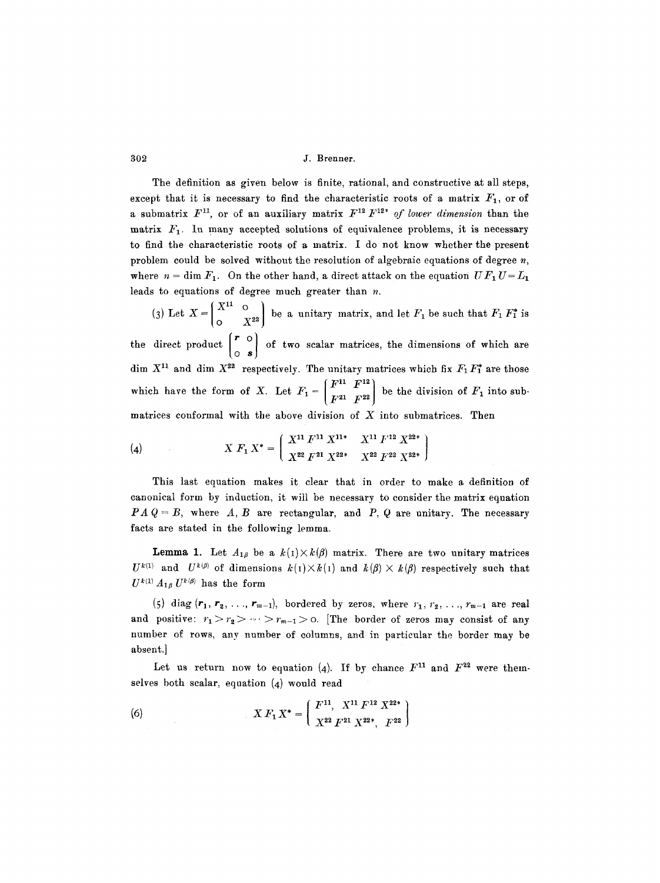The definition as given below is finite, rational, and constructive at all steps, except that it is necessary to find the characteristic roots of a matrix  $F_1$ , or of a submatrix  $F^{11}$ , or of an auxiliary matrix  $F^{12} F^{12*}$  of lower dimension than the matrix  $F_1$ . In many accepted solutions of equivalence problems, it is necessary to find the characteristic roots of a matrix. I do not know whether the present problem could be solved without the resolution of algebraic equations of degree  $n$ , where  $n = \dim F_1$ . On the other hand, a direct attack on the equation  $UF_1 U = L_1$ leads to equations of degree much greater than n.

(3) Let  $X = \begin{bmatrix} X^{11} & 0 \\ 0 & Y^{22} \end{bmatrix}$  be a unitary matrix, and let  $F_1$  be such that  $F_1$   $F_1^*$  is the direct product  $\begin{pmatrix} r & o \\ o & s \end{pmatrix}$  of two scalar matrices, the dimensions of which are dim  $X^{11}$  and dim  $X^{22}$  respectively. The unitary matrices which fix  $F_1 F_1^*$  are those  $(F^{11} \ F^{12})$ which have the form of X. Let  $F_1 = \begin{bmatrix} 1 & 0 \\ 0 & 0 \end{bmatrix}$  be the division of  $F_1$  into submatrices conformal with the above division of  $X$  into submatrices. Then

(4) 
$$
X F_1 X^* = \left( \begin{array}{cc} X^{11} F^{11} X^{11*} & X^{11} F^{12} X^{22*} \\ X^{22} F^{21} X^{22*} & X^{22} F^{22} X^{22*} \end{array} \right)
$$

This last equation makes it clear that in order to make a definition of canonical form by induction, it will be necessary to consider the matrix equation  $PAQ = B$ , where  $A, B$  are rectangular, and  $P, Q$  are unitary. The necessary facts are stated in the following lemma.

**Lemma 1.** Let  $A_{1\beta}$  be a  $k(1)\times k(\beta)$  matrix. There are two unitary matrices  $U^{k(1)}$  and  $U^{k(\beta)}$  of dimensions  $k(1)\times k(1)$  and  $k(\beta)\times k(\beta)$  respectively such that  $U^{k(1)} A_{1\beta} U^{k(\beta)}$  has the form

(5) diag  $(r_1, r_2, \ldots, r_{m-1})$ , bordered by zeros, where  $r_1, r_2, \ldots, r_{m-1}$  are real and positive:  $r_1 > r_2 > \cdots > r_{m-1} >$  o. [The border of zeros may consist of any number of rows, any number of columns, and in particular the border may be absent.]

Let us return now to equation (4). If by chance  $F^{11}$  and  $F^{22}$  were themselves both scalar, equation (4) would read

(6) 
$$
X F_1 X^* = \left( \begin{array}{cc} F^{11}, & X^{11} F^{12} X^{22*} \\ X^{22} F^{21} X^{22*}, & F^{22} \end{array} \right)
$$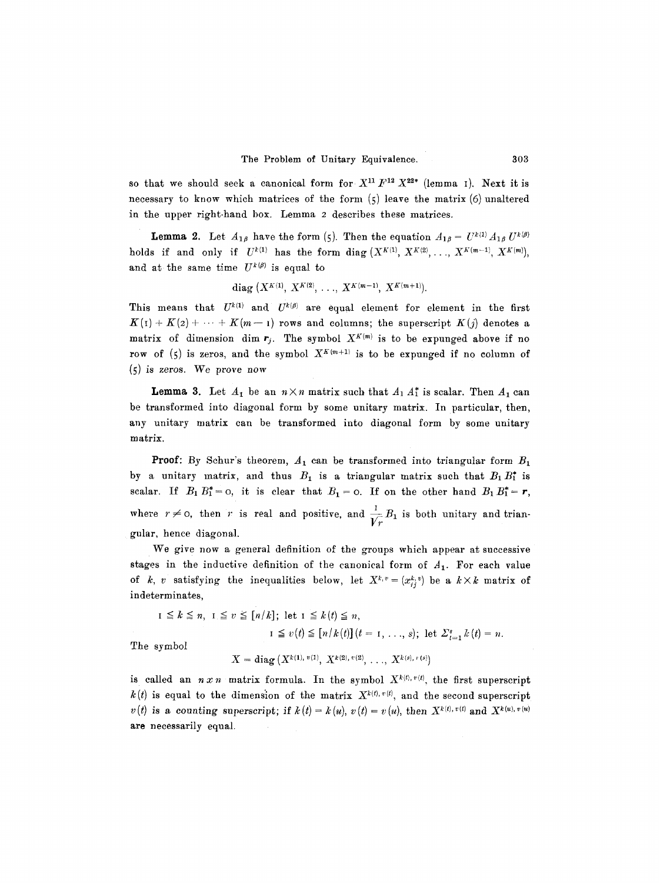so that we should seek a canonical form for  $X^{11}F^{12}X^{22}$  (lemma I). Next it is necessary to know which matrices of the form  $(5)$  leave the matrix  $(6)$  unaltered in the upper right-hand box. Lemma 2 describes these matrices.

**Lemma 2.** Let  $A_{1\beta}$  have the form (5). Then the equation  $A_{1\beta} = U^{k(1)} A_{1\beta} U^{k(\beta)}$ holds if and only if  $U^{k(1)}$  has the form diag  $(X^{K(1)}, X^{K(2)}, \ldots, X^{K(m-1)}, X^{K(m)})$ , and at the same time  $U^{k(\beta)}$  is equal to

diag 
$$
(X^{K(1)}, X^{K(2)}, \ldots, X^{K(m-1)}, X^{K(m+1)})
$$
.

This means that  $U^{k(1)}$  and  $U^{k(\beta)}$  are equal element for element in the first  $K(i) + K(2) + \cdots + K(m-1)$  rows and columns; the superscript  $K(j)$  denotes a matrix of dimension dim  $r_j$ . The symbol  $X^{K(m)}$  is to be expunged above if no row of (5) is zeros, and the symbol  $X^{K(m+1)}$  is to be expunged if no column of (5) is zeros. We prove now

**Lemma 3.** Let  $A_1$  be an  $n \times n$  matrix such that  $A_1 A_1^*$  is scalar. Then  $A_1$  can be transformed into diagonal form by some unitary matrix. In particular, then, any unitary matrix can be transformed into diagonal form by some unitary matrix.

**Proof:** By Schur's theorem,  $A_1$  can be transformed into triangular form  $B_1$ by a unitary matrix, and thus  $B_1$  is a triangular matrix such that  $B_1 B_1^*$  is scalar. If  $B_1 B_1^* = 0$ , it is clear that  $B_1 = 0$ . If on the other hand  $B_1 B_1^* = r$ , where  $r \neq 0$ , then r is real and positive, and  $\frac{1}{\sqrt{r}} B_1$  is both unitary and triangular, hence diagonal.

We give now a general definition of the groups which appear at successive stages in the inductive definition of the canonical form of  $A_1$ . For each value of k, v satisfying the inequalities below, let  $X^{k,v} = (x_{ij}^{k,v})$  be a  $k \times k$  matrix of indeterminates,

$$
I \leq k \leq n, \ I \leq v \leq [n/k]; \text{ let } I \leq k(t) \leq n,
$$
  

$$
I \leq v(t) \leq [n/k(t)](t = 1, \ldots, s); \text{ let } \sum_{t=1}^{s} k(t) = n.
$$
  
symbol

The

 $X = diag(X^{k(1), v(1)}, X^{k(2), v(2)}, \ldots, X^{k(s), v(s)})$ 

is called an  $n x n$  matrix formula. In the symbol  $X^{k(t), v(t)}$ , the first superscript  $k(t)$  is equal to the dimension of the matrix  $X^{k(t), v(t)}$ , and the second superscript  $v(t)$  is a counting superscript; if  $k(t) = k(u)$ ,  $v(t) = v(u)$ , then  $X^{k(t), v(t)}$  and  $X^{k(u), v(u)}$ are necessarily equal.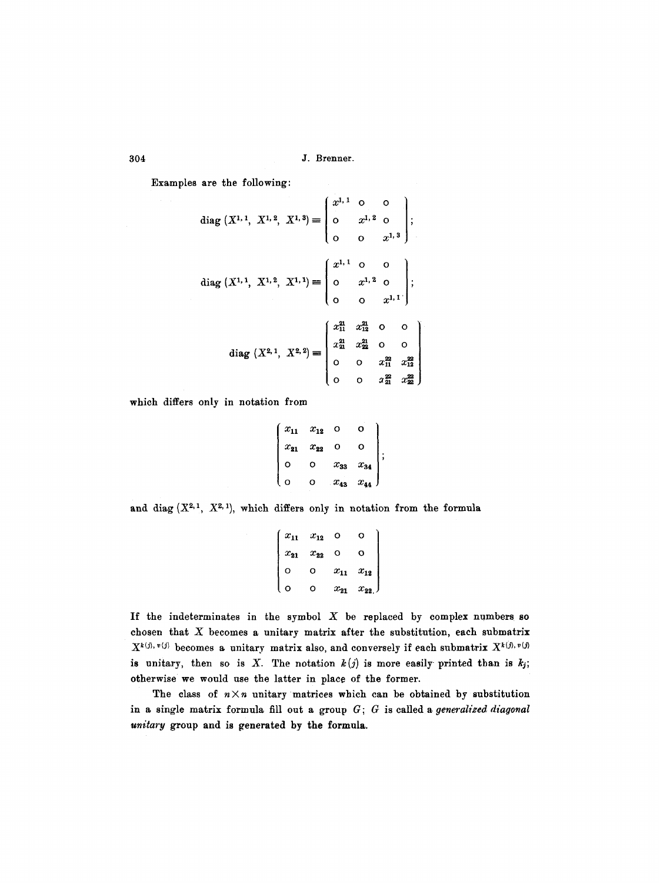Examples are the following:

diag (X<sup>1,1</sup>, X<sup>1,2</sup>, X<sup>1,3</sup>) = 
$$
\begin{pmatrix} x^{1,1} & 0 & 0 \\ 0 & x^{1,2} & 0 \\ 0 & 0 & x^{1,3} \end{pmatrix};
$$
diag (X<sup>1,1</sup>, X<sup>1,2</sup>, X<sup>1,1</sup>) = 
$$
\begin{pmatrix} x^{1,1} & 0 & 0 \\ 0 & x^{1,2} & 0 \\ 0 & 0 & x^{1,1} \end{pmatrix};
$$
diag (X<sup>2,1</sup>, X<sup>2,2</sup>) = 
$$
\begin{pmatrix} x_{11}^{21} & x_{12}^{21} & 0 & 0 \\ x_{21}^{21} & x_{22}^{21} & 0 & 0 \\ 0 & 0 & x_{11}^{22} & x_{22}^{22} \\ 0 & 0 & x_{11}^{22} & x_{22}^{22} \end{pmatrix}
$$

which differs only in notation from

$$
\begin{pmatrix} x_{11} & x_{12} & 0 & 0 \ x_{21} & x_{22} & 0 & 0 \ 0 & 0 & x_{33} & x_{34} \ 0 & 0 & x_{43} & x_{44} \end{pmatrix};
$$

and diag  $(X^{2,1}, X^{2,1})$ , which differs only in notation from the formula

$$
\begin{pmatrix}\nx_{11} & x_{12} & 0 & 0 \\
x_{21} & x_{22} & 0 & 0 \\
0 & 0 & x_{11} & x_{12} \\
0 & 0 & x_{21} & x_{22}\n\end{pmatrix}
$$

If the indeterminates in the symbol  $X$  be replaced by complex numbers so chosen that  $X$  becomes a unitary matrix after the substitution, each submatrix  $X^{k(j),~v(j)}$  becomes a unitary matrix also, and conversely if each submatrix  $X^{k(j),~v(j)}$ is unitary, then so is X. The notation  $k(j)$  is more easily printed than is  $k_j$ ; otherwise we would use the latter in place of the former.

The class of  $n \times n$  unitary matrices which can be obtained by substitution in a single matrix formula fill out a group G; G is called a *generalized diagonal unitary* group and is generated by the formula.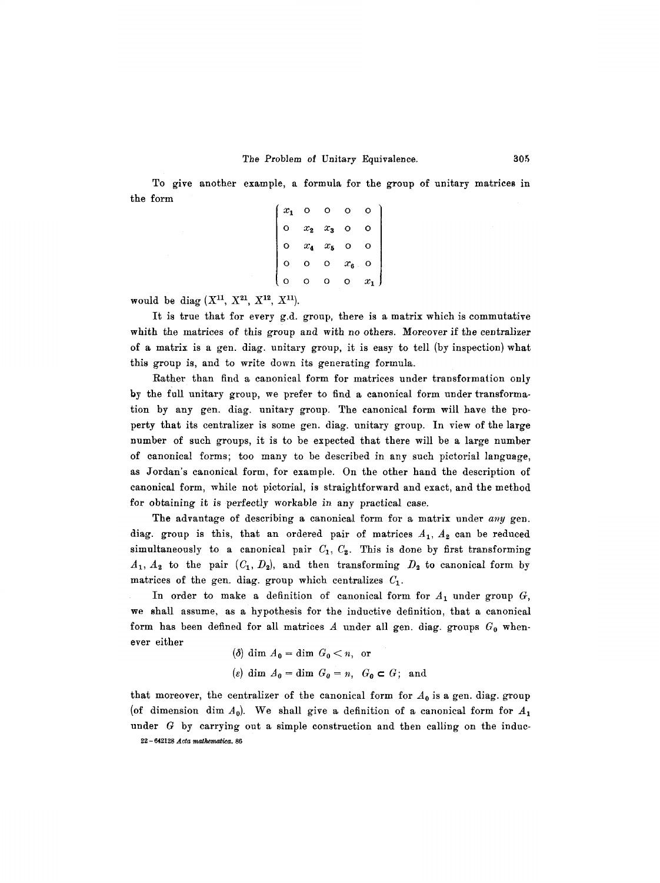To give another example, a formula for the group of unitary matrices in the form

| $x_1$ |         |         |         |   |  |
|-------|---------|---------|---------|---|--|
|       | $x_{2}$ | $x_3$   |         |   |  |
|       | $x_{4}$ | $x_{5}$ |         |   |  |
|       | υ       | O       | $x_{6}$ |   |  |
|       |         |         |         | x |  |

would be diag  $(X^{11}, X^{21}, X^{12}, X^{11}).$ 

It is true that for every g.d. group, there is a matrix which is commutative whith the matrices of this group and with no others. Moreover if the centralizer of a matrix is a gen. diag. unitary group, it is easy to tell (by inspection)what this group is, and to write down its generating formula.

Rather than find a canonical form for matrices under transformation only by the full unitary group, we prefer to find a canonical form under transformation by any gen. diag. unitary group. The canonical form will have the property that its centralizer is some gen. diag. unitary group. In view of the large number of such groups, it is to be expected that there will be a large number of canonical forms; too many to be described in any such pictorial language, as Jordan's canonical form, for example. On the other hand the description of canonical form, while not pictorial, is straightforward and exact, and the method for obtaining it is perfectly workable in any practical case.

The advantage of describing a canonical form for a matrix under *any* gen. diag. group is this, that an ordered pair of matrices  $A_1$ ,  $A_2$  can be reduced simultaneously to a canonical pair  $C_1$ ,  $C_2$ . This is done by first transforming  $A_1, A_2$  to the pair  $(C_1, D_2)$ , and then transforming  $D_2$  to canonical form by matrices of the gen. diag. group which centralizes  $C_1$ .

In order to make a definition of canonical form for  $A_1$  under group  $G$ , we shall assume, as a hypothesis for the inductive definition, that a canonical form has been defined for all matrices  $A$  under all gen. diag. groups  $G_0$  whenever either

\n- (
$$
\delta
$$
) dim  $A_0 = \dim G_0 < n$ , or
\n- ( $\varepsilon$ ) dim  $A_0 = \dim G_0 = n$ ,  $G_0 \subset G$ ; and
\n

that moreover, the centralizer of the canonical form for  $A_0$  is a gen. diag. group (of dimension dim  $A_0$ ). We shall give a definition of a canonical form for  $A_1$ under G by carrying out a simple construction and then calling on the induc-22 - 642128 *Acta mathematica*. 86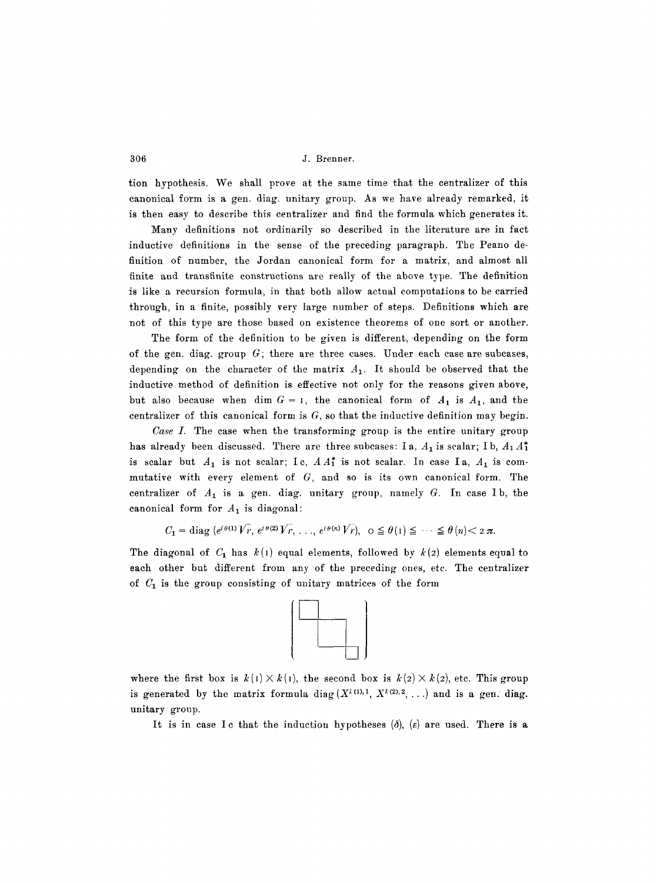tion hypothesis. We shall prove at the same time that the centralizer of this canonical form is a gen. diag. unitary group. As we have already remarked, it is then easy to describe this centralizer and find the formula which generates it.

Many definitions not ordinarily so described in the literature are in fact inductive definitions in the sense of the preceding paragraph. The Peano definition of number, the Jordan canonical form for a matrix, and almost all finite and transfinite constructions are really of the above type. The definition is like a recursion formula, in that both allow actual computations to be carried through, in a finite, possibly very large number of steps. Definitions which are not of this type are those based on existence theorems of one sort or another.

The form of the definition to be given is different, depending on the form of the gen. diag. group  $G$ ; there are three cases. Under each case are subcases, depending on the character of the matrix  $A_1$ . It should be observed that the inductive method of definition is effective not only for the reasons given above, but also because when dim  $G = I$ , the canonical form of  $A_1$  is  $A_1$ , and the centralizer of this canonical form is  $G$ , so that the inductive definition may begin.

*Case I.* The case when the transforming group is the entire unitary group has already been discussed. There are three subcases: Ia,  $A_1$  is scalar; Ib,  $A_1 A_1^*$ is scalar but  $A_1$  is not scalar; Ic,  $A A_1^*$  is not scalar. In case Ia,  $A_1$  is commutative with every element of  $G$ , and so is its own canonical form. The centralizer of  $A_1$  is a gen. diag. unitary group, namely  $G$ . In case I b, the canonical form for  $A_1$  is diagonal:

 $C_1 = \text{diag}(e^{i\theta(1)}\overline{V_r}, e^{i\theta(2)}\overline{V_r}, \ldots, e^{i\theta(n)}\overline{V_r}), o \leq \theta(1) \leq \cdots \leq \theta(n) < 2\pi.$ 

The diagonal of  $C_1$  has  $k(1)$  equal elements, followed by  $k(2)$  elements equal to each other but different from any of the preceding ones, etc. The centralizer of  $C_1$  is the group consisting of unitary matrices of the form



where the first box is  $k(1) \times k(1)$ , the second box is  $k(2) \times k(2)$ , etc. This group is generated by the matrix formula diag  $(X<sup>l(1),1</sup>, X<sup>l(2),2</sup>, ...)$  and is a gen. diag. unitary group.

It is in case Ic that the induction hypotheses  $(\delta)$ ,  $(\varepsilon)$  are used. There is a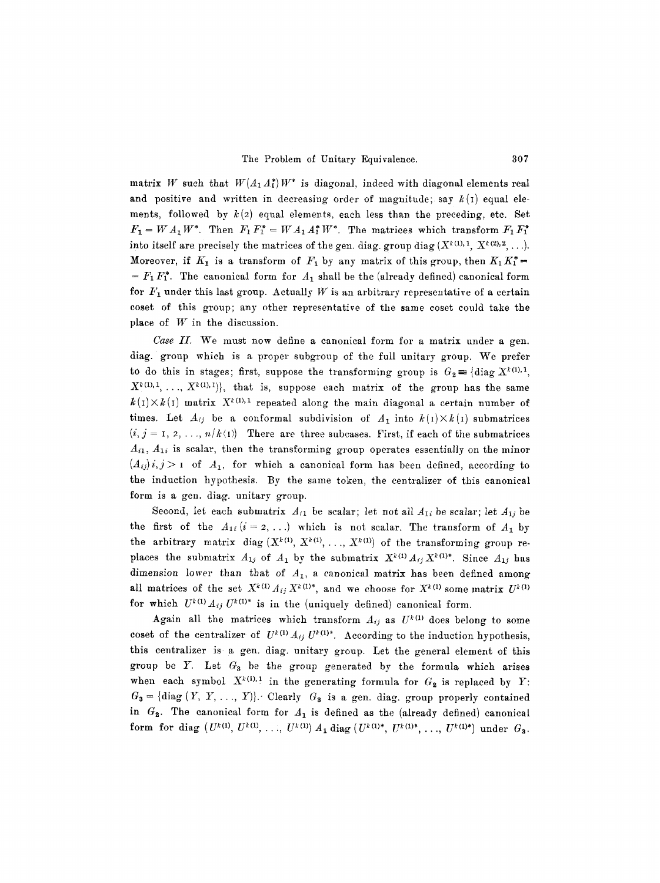matrix W such that  $W(A_1, A_1^*)W^*$  is diagonal, indeed with diagonal elements real and positive and written in decreasing order of magnitude; say  $k(i)$  equal elements, followed by  $k(2)$  equal elements, each less than the preceding, etc. Set  $F_1 = WA_1 W^*$ . Then  $F_1 F_1^* = WA_1 A_1^* W^*$ . The matrices which transform  $F_1 F_1^*$ into itself are precisely the matrices of the gen. diag. group diag  $(X^{k(1)}, 1, X^{k(2)}, 2, \ldots)$ . Moreover, if  $K_1$  is a transform of  $F_1$  by any matrix of this group, then  $K_1 K_1^* =$  $= F_1 F_1^*$ . The canonical form for  $A_1$  shall be the (already defined) canonical form for  $F_1$  under this last group. Actually W is an arbitrary representative of a certain coset of this group; any other representative of the same coset could take the place of  $W$  in the discussion.

*Case II.* We must now define a canonical form for a matrix under a gen. diag. group which is a proper subgroup of the full unitary group. We prefer to do this in stages; first, suppose the transforming group is  $G_2 \equiv \{ \text{diag } X^{k(1),1},$  $X^{k(1),1}, \ldots, X^{k(1),1}$ , that is, suppose each matrix of the group has the same  $k(1) \times k(1)$  matrix  $X^{k(1),1}$  repeated along the main diagonal a certain number of times. Let  $A_{ij}$  be a conformal subdivision of  $A_1$  into  $k(I) \times k(I)$  submatrices  $(i, j = 1, 2, ..., n/k(I))$  There are three subcases. First, if each of the submatrices  $A_{i1}$ ,  $A_{1i}$  is scalar, then the transforming group operates essentially on the minor  $(A_{ij})$  *i*, *j* > 1 of  $A_1$ , for which a canonical form has been defined, according to the induction hypothesis. By the same token, the centralizer of this canonical form is a gen. diag. unitary group.

Second, let each submatrix  $A_{i1}$  be scalar; let not all  $A_{1i}$  be scalar; let  $A_{1j}$  be the first of the  $A_{1i}$  ( $i = 2, ...$ ) which is not scalar. The transform of  $A_1$  by the arbitrary matrix diag  $(X^{k(1)}, X^{k(1)}, \ldots, X^{k(1)})$  of the transforming group replaces the submatrix  $A_{1j}$  of  $A_1$  by the submatrix  $X^{k(1)} A_{ij} X^{k(1)*}$ . Since  $A_{1j}$  has dimension lower than that of  $A_{1}$ , a canonical matrix has been defined among all matrices of the set  $X^{k(1)} A_{ij} X^{k(1)*}$ , and we choose for  $X^{k(1)}$  some matrix  $U^{k(1)}$ for which  $U^{k(1)} A_{ij} U^{k(1)*}$  is in the (uniquely defined) canonical form.

Again all the matrices which transform  $A_{ij}$  as  $U^{k(1)}$  does belong to some coset of the centralizer of  $U^{k(1)}A_{ij}U^{k(1)*}$ . According to the induction hypothesis, this centralizer is.a gen. diag. unitary group. Let the general element of this group be Y. Let  $G_3$  be the group generated by the formula which arises when each symbol  $X^{k(1),1}$  in the generating formula for  $G_2$  is replaced by Y:  $G_3$  = {diag  $(Y, Y, ..., Y)$ }. Clearly  $G_3$  is a gen. diag. group properly contained in  $G_2$ . The canonical form for  $A_1$  is defined as the (already defined) canonical form for diag  $(U^{k(1)}, U^{k(1)}, \ldots, U^{k(1)}) A_1$  diag  $(U^{k(1)*}, U^{k(1)*}, \ldots, U^{k(1)*})$  under  $G_3$ .